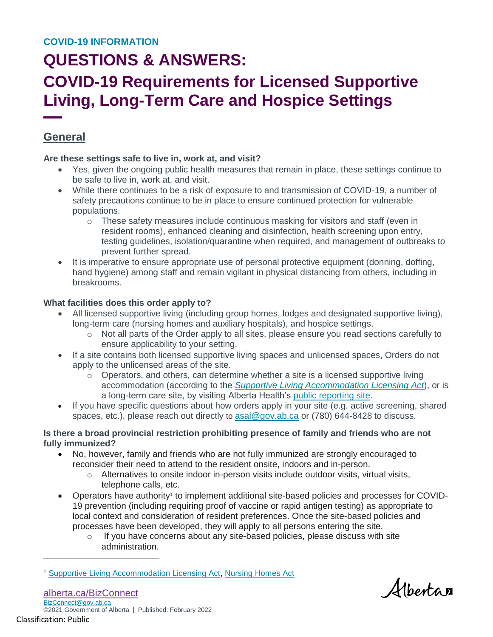## **COVID-19 Requirements for Licensed Supportive Living, Long-Term Care and Hospice Settings**

### **General**

### **Are these settings safe to live in, work at, and visit?**

- Yes, given the ongoing public health measures that remain in place, these settings continue to be safe to live in, work at, and visit.
- While there continues to be a risk of exposure to and transmission of COVID-19, a number of safety precautions continue to be in place to ensure continued protection for vulnerable populations.
	- $\circ$  These safety measures include continuous masking for visitors and staff (even in resident rooms), enhanced cleaning and disinfection, health screening upon entry, testing guidelines, isolation/quarantine when required, and management of outbreaks to prevent further spread.
- It is imperative to ensure appropriate use of personal protective equipment (donning, doffing, hand hygiene) among staff and remain vigilant in physical distancing from others, including in breakrooms.

### **What facilities does this order apply to?**

- All licensed supportive living (including group homes, lodges and designated supportive living), long-term care (nursing homes and auxiliary hospitals), and hospice settings.
	- $\circ$  Not all parts of the Order apply to all sites, please ensure you read sections carefully to ensure applicability to your setting.
- If a site contains both licensed supportive living spaces and unlicensed spaces, Orders do not apply to the unlicensed areas of the site.
	- $\circ$  Operators, and others, can determine whether a site is a licensed supportive living accommodation (according to the *[Supportive Living Accommodation Licensing Act](https://open.alberta.ca/publications/s23p5)*), or is a long-term care site, by visiting Alberta Health's [public reporting site.](https://standardsandlicensing.alberta.ca/)
- If you have specific questions about how orders apply in your site (e.g. active screening, shared spaces, etc.), please reach out directly to [asal@gov.ab.ca](mailto:asal@gov.ab.ca) or (780) 644-8428 to discuss.

### **Is there a broad provincial restriction prohibiting presence of family and friends who are not fully immunized?**

- No, however, family and friends who are not fully immunized are strongly encouraged to reconsider their need to attend to the resident onsite, indoors and in-person.
	- $\circ$  Alternatives to onsite indoor in-person visits include outdoor visits, virtual visits, telephone calls, etc.
- Operators have authority<sup>1</sup> to implement additional site-based policies and processes for COVID-19 prevention (including requiring proof of vaccine or rapid antigen testing) as appropriate to local context and consideration of resident preferences. Once the site-based policies and processes have been developed, they will apply to all persons entering the site.
	- o If you have concerns about any site-based policies, please discuss with site administration.

 $\overline{a}$ 

*Alberta* 

<sup>&</sup>lt;sup>1</sup> [Supportive Living Accommodation Licensing Act,](https://www.qp.alberta.ca/1266.cfm?page=S23P5.cfm&leg_type=Acts&isbncln=9780779784783&display=html) [Nursing Homes Act](https://www.qp.alberta.ca/documents/Acts/N07.pdf)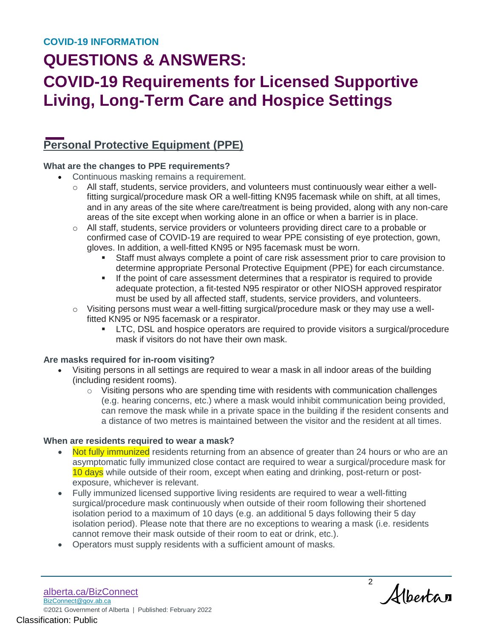# **COVID-19 Requirements for Licensed Supportive Living, Long-Term Care and Hospice Settings**

### **Personal Protective Equipment (PPE)**

### **What are the changes to PPE requirements?**

- Continuous masking remains a requirement.
	- $\circ$  All staff, students, service providers, and volunteers must continuously wear either a wellfitting surgical/procedure mask OR a well-fitting KN95 facemask while on shift, at all times, and in any areas of the site where care/treatment is being provided, along with any non-care areas of the site except when working alone in an office or when a barrier is in place.
	- $\circ$  All staff, students, service providers or volunteers providing direct care to a probable or confirmed case of COVID-19 are required to wear PPE consisting of eye protection, gown, gloves. In addition, a well-fitted KN95 or N95 facemask must be worn.
		- Staff must always complete a point of care risk assessment prior to care provision to determine appropriate Personal Protective Equipment (PPE) for each circumstance.
		- **If the point of care assessment determines that a respirator is required to provide** adequate protection, a fit-tested N95 respirator or other NIOSH approved respirator must be used by all affected staff, students, service providers, and volunteers.
	- o Visiting persons must wear a well-fitting surgical/procedure mask or they may use a wellfitted KN95 or N95 facemask or a respirator.
		- LTC, DSL and hospice operators are required to provide visitors a surgical/procedure mask if visitors do not have their own mask.

### **Are masks required for in-room visiting?**

- Visiting persons in all settings are required to wear a mask in all indoor areas of the building (including resident rooms).
	- $\circ$  Visiting persons who are spending time with residents with communication challenges (e.g. hearing concerns, etc.) where a mask would inhibit communication being provided, can remove the mask while in a private space in the building if the resident consents and a distance of two metres is maintained between the visitor and the resident at all times.

### **When are residents required to wear a mask?**

- Not fully immunized residents returning from an absence of greater than 24 hours or who are an asymptomatic fully immunized close contact are required to wear a surgical/procedure mask for 10 days while outside of their room, except when eating and drinking, post-return or postexposure, whichever is relevant.
- Fully immunized licensed supportive living residents are required to wear a well-fitting surgical/procedure mask continuously when outside of their room following their shortened isolation period to a maximum of 10 days (e.g. an additional 5 days following their 5 day isolation period). Please note that there are no exceptions to wearing a mask (i.e. residents cannot remove their mask outside of their room to eat or drink, etc.).
- Operators must supply residents with a sufficient amount of masks.

[alberta.ca/BizConnect](https://www.alberta.ca/BizConnect) [BizConnect@gov.ab.ca](mailto:BizConnect@gov.ab.ca) ©2021 Government of Alberta | Published: February 2022 Classification: Public

2 Alberta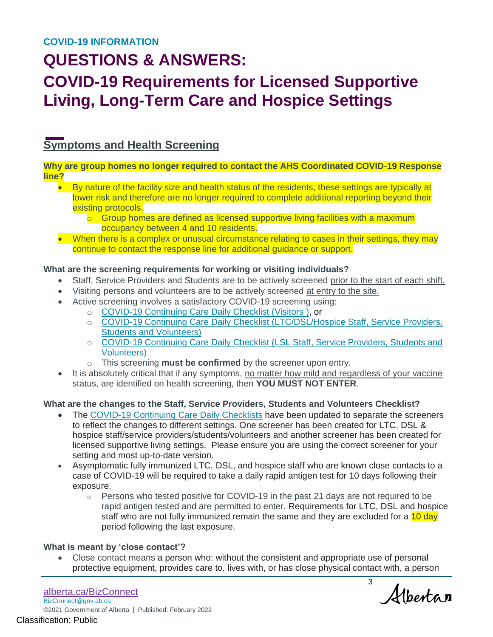## **COVID-19 Requirements for Licensed Supportive Living, Long-Term Care and Hospice Settings**

### **Symptoms and Health Screening**

#### **Why are group homes no longer required to contact the AHS Coordinated COVID-19 Response line?**

- By nature of the facility size and health status of the residents, these settings are typically at lower risk and therefore are no longer required to complete additional reporting beyond their existing protocols.
	- $\overline{\circ}$  Group homes are defined as licensed supportive living facilities with a maximum occupancy between 4 and 10 residents.
- When there is a complex or unusual circumstance relating to cases in their settings, they may continue to contact the response line for additional guidance or support.

### **What are the screening requirements for working or visiting individuals?**

- Staff, Service Providers and Students are to be actively screened prior to the start of each shift.
- Visiting persons and volunteers are to be actively screened at entry to the site.
- Active screening involves a satisfactory COVID-19 screening using:
	- o [COVID-19 Continuing Care Daily Checklist \(Visitors \)](https://open.alberta.ca/publications/covid-19-information-alberta-health-daily-checklist), or
		- o [COVID-19 Continuing Care Daily Checklist \(LTC/DSL/Hospice Staff, Service Providers,](https://open.alberta.ca/publications/covid-19-information-alberta-health-daily-checklist)  [Students and Volunteers\)](https://open.alberta.ca/publications/covid-19-information-alberta-health-daily-checklist)
		- o [COVID-19 Continuing Care Daily Checklist \(LSL Staff, Service Providers, Students and](https://open.alberta.ca/publications/covid-19-information-alberta-health-daily-checklist)  [Volunteers\)](https://open.alberta.ca/publications/covid-19-information-alberta-health-daily-checklist)
		- o This screening **must be confirmed** by the screener upon entry.
- It is absolutely critical that if any symptoms, no matter how mild and regardless of your vaccine status, are identified on health screening, then **YOU MUST NOT ENTER**.

### **What are the changes to the Staff, Service Providers, Students and Volunteers Checklist?**

- The [COVID-19 Continuing Care Daily Checklists](https://open.alberta.ca/publications/covid-19-information-alberta-health-daily-checklist) have been updated to separate the screeners to reflect the changes to different settings. One screener has been created for LTC, DSL & hospice staff/service providers/students/volunteers and another screener has been created for licensed supportive living settings. Please ensure you are using the correct screener for your setting and most up-to-date version.
- Asymptomatic fully immunized LTC, DSL, and hospice staff who are known close contacts to a case of COVID-19 will be required to take a daily rapid antigen test for 10 days following their exposure.
	- $\circ$  Persons who tested positive for COVID-19 in the past 21 days are not required to be rapid antigen tested and are permitted to enter. Requirements for LTC, DSL and hospice staff who are not fully immunized remain the same and they are excluded for a 10 day period following the last exposure.

### **What is meant by 'close contact'?**

 Close contact means a person who: without the consistent and appropriate use of personal protective equipment, provides care to, lives with, or has close physical contact with, a person

3 Alberta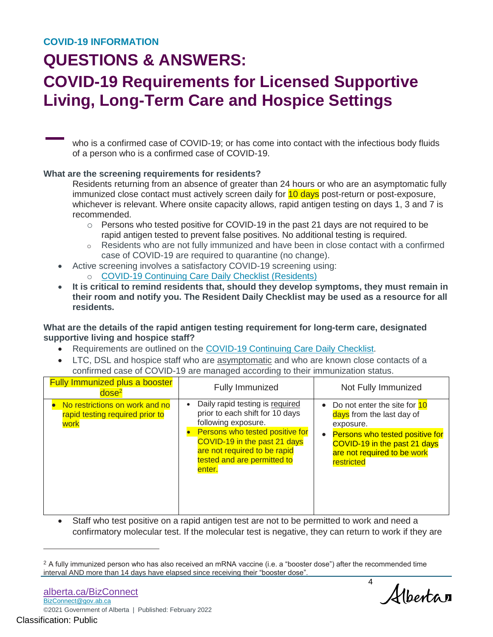# **COVID-19 Requirements for Licensed Supportive Living, Long-Term Care and Hospice Settings**

who is a confirmed case of COVID-19; or has come into contact with the infectious body fluids of a person who is a confirmed case of COVID-19.

#### **What are the screening requirements for residents?**

Residents returning from an absence of greater than 24 hours or who are an asymptomatic fully immunized close contact must actively screen daily for 10 days post-return or post-exposure, whichever is relevant. Where onsite capacity allows, rapid antigen testing on days 1, 3 and 7 is recommended.

- $\circ$  Persons who tested positive for COVID-19 in the past 21 days are not required to be rapid antigen tested to prevent false positives. No additional testing is required.
- $\circ$  Residents who are not fully immunized and have been in close contact with a confirmed case of COVID-19 are required to quarantine (no change).
- Active screening involves a satisfactory COVID-19 screening using:
	- o [COVID-19 Continuing Care Daily Checklist \(Residents\)](https://open.alberta.ca/publications/covid-19-information-alberta-health-daily-checklist)
- **It is critical to remind residents that, should they develop symptoms, they must remain in their room and notify you. The Resident Daily Checklist may be used as a resource for all residents.**

**What are the details of the rapid antigen testing requirement for long-term care, designated supportive living and hospice staff?**

- Requirements are outlined on the [COVID-19 Continuing Care Daily Checklist.](https://open.alberta.ca/publications/covid-19-information-alberta-health-daily-checklist)
- LTC, DSL and hospice staff who are asymptomatic and who are known close contacts of a confirmed case of COVID-19 are managed according to their immunization status.

| <b>Fully Immunized plus a booster</b><br>dose <sup>2</sup>                | <b>Fully Immunized</b>                                                                                                                                                                                                                | Not Fully Immunized                                                                                                                                                                        |
|---------------------------------------------------------------------------|---------------------------------------------------------------------------------------------------------------------------------------------------------------------------------------------------------------------------------------|--------------------------------------------------------------------------------------------------------------------------------------------------------------------------------------------|
| No restrictions on work and no<br>rapid testing required prior to<br>work | Daily rapid testing is required<br>prior to each shift for 10 days<br>following exposure.<br>Persons who tested positive for<br>COVID-19 in the past 21 days<br>are not required to be rapid<br>tested and are permitted to<br>enter. | • Do not enter the site for 10<br>days from the last day of<br>exposure.<br>• Persons who tested positive for<br>COVID-19 in the past 21 days<br>are not required to be work<br>restricted |

 Staff who test positive on a rapid antigen test are not to be permitted to work and need a confirmatory molecular test. If the molecular test is negative, they can return to work if they are

4 Albertan

 $\overline{a}$ 

 $2$  A fully immunized person who has also received an mRNA vaccine (i.e. a "booster dose") after the recommended time interval AND more than 14 days have elapsed since receiving their "booster dose".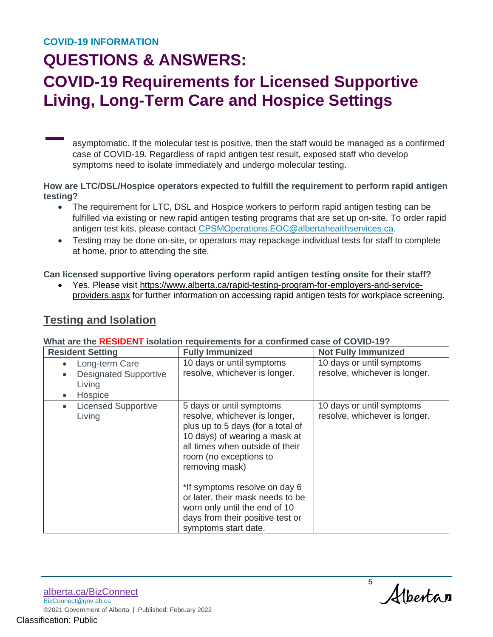# **COVID-19 Requirements for Licensed Supportive Living, Long-Term Care and Hospice Settings**

asymptomatic. If the molecular test is positive, then the staff would be managed as a confirmed case of COVID-19. Regardless of rapid antigen test result, exposed staff who develop symptoms need to isolate immediately and undergo molecular testing.

**How are LTC/DSL/Hospice operators expected to fulfill the requirement to perform rapid antigen testing?**

- The requirement for LTC, DSL and Hospice workers to perform rapid antigen testing can be fulfilled via existing or new rapid antigen testing programs that are set up on-site. To order rapid antigen test kits, please contact [CPSMOperations.EOC@albertahealthservices.ca.](mailto:CPSMOperations.EOC@albertahealthservices.ca)
- Testing may be done on-site, or operators may repackage individual tests for staff to complete at home, prior to attending the site.

**Can licensed supportive living operators perform rapid antigen testing onsite for their staff?**

 Yes. Please visit [https://www.alberta.ca/rapid-testing-program-for-employers-and-service](https://www.alberta.ca/rapid-testing-program-for-employers-and-service-providers.aspx)[providers.aspx](https://www.alberta.ca/rapid-testing-program-for-employers-and-service-providers.aspx) for further information on accessing rapid antigen tests for workplace screening.

### **Testing and Isolation**

| <b>Resident Setting</b>                                             | <b>Fully Immunized</b>                                                                                                                                                                                                                                                                                                                                                           | <b>Not Fully Immunized</b>                                 |
|---------------------------------------------------------------------|----------------------------------------------------------------------------------------------------------------------------------------------------------------------------------------------------------------------------------------------------------------------------------------------------------------------------------------------------------------------------------|------------------------------------------------------------|
| Long-term Care<br><b>Designated Supportive</b><br>Living<br>Hospice | 10 days or until symptoms<br>resolve, whichever is longer.                                                                                                                                                                                                                                                                                                                       | 10 days or until symptoms<br>resolve, whichever is longer. |
| <b>Licensed Supportive</b><br>Living                                | 5 days or until symptoms<br>resolve, whichever is longer,<br>plus up to 5 days (for a total of<br>10 days) of wearing a mask at<br>all times when outside of their<br>room (no exceptions to<br>removing mask)<br>*If symptoms resolve on day 6<br>or later, their mask needs to be<br>worn only until the end of 10<br>days from their positive test or<br>symptoms start date. | 10 days or until symptoms<br>resolve, whichever is longer. |

### **What are the RESIDENT isolation requirements for a confirmed case of COVID-19?**

5 Alberta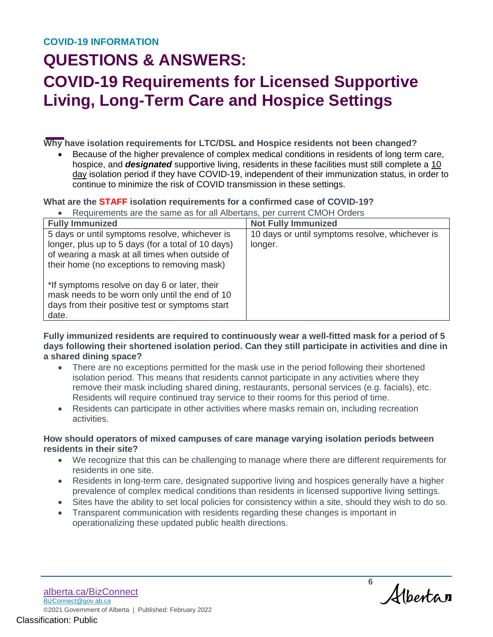# **COVID-19 Requirements for Licensed Supportive Living, Long-Term Care and Hospice Settings**

**Why have isolation requirements for LTC/DSL and Hospice residents not been changed?**

 Because of the higher prevalence of complex medical conditions in residents of long term care, hospice, and *designated* supportive living, residents in these facilities must still complete a 10 day isolation period if they have COVID-19, independent of their immunization status, in order to continue to minimize the risk of COVID transmission in these settings.

### **What are the STAFF isolation requirements for a confirmed case of COVID-19?**

Requirements are the same as for all Albertans, per current CMOH Orders

| <b>Fully Immunized</b>                                                                                                                                                                                | <b>Not Fully Immunized</b>                                 |
|-------------------------------------------------------------------------------------------------------------------------------------------------------------------------------------------------------|------------------------------------------------------------|
| 5 days or until symptoms resolve, whichever is<br>longer, plus up to 5 days (for a total of 10 days)<br>of wearing a mask at all times when outside of<br>their home (no exceptions to removing mask) | 10 days or until symptoms resolve, whichever is<br>longer. |
| *If symptoms resolve on day 6 or later, their<br>mask needs to be worn only until the end of 10<br>days from their positive test or symptoms start<br>date.                                           |                                                            |

**Fully immunized residents are required to continuously wear a well-fitted mask for a period of 5 days following their shortened isolation period. Can they still participate in activities and dine in a shared dining space?** 

- There are no exceptions permitted for the mask use in the period following their shortened isolation period. This means that residents cannot participate in any activities where they remove their mask including shared dining, restaurants, personal services (e.g. facials), etc. Residents will require continued tray service to their rooms for this period of time.
- Residents can participate in other activities where masks remain on, including recreation activities.

#### **How should operators of mixed campuses of care manage varying isolation periods between residents in their site?**

- We recognize that this can be challenging to manage where there are different requirements for residents in one site.
- Residents in long-term care, designated supportive living and hospices generally have a higher prevalence of complex medical conditions than residents in licensed supportive living settings.
- Sites have the ability to set local policies for consistency within a site, should they wish to do so.
- Transparent communication with residents regarding these changes is important in operationalizing these updated public health directions.

[alberta.ca/BizConnect](https://www.alberta.ca/BizConnect) [BizConnect@gov.ab.ca](mailto:BizConnect@gov.ab.ca) ©2021 Government of Alberta | Published: February 2022 Classification: Public

6 Albertan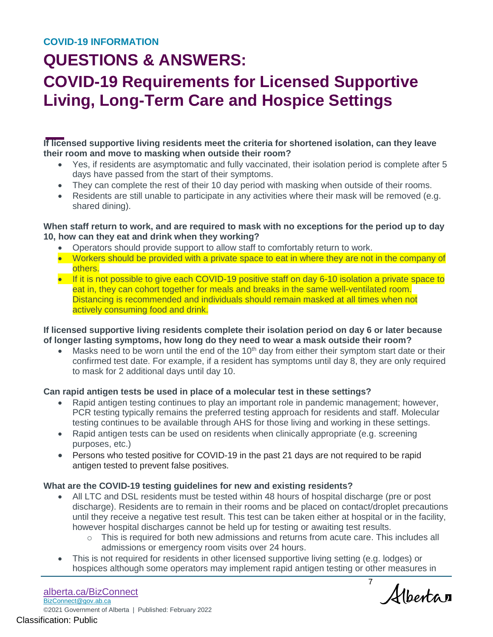# **COVID-19 Requirements for Licensed Supportive Living, Long-Term Care and Hospice Settings**

**If licensed supportive living residents meet the criteria for shortened isolation, can they leave their room and move to masking when outside their room?**

- Yes, if residents are asymptomatic and fully vaccinated, their isolation period is complete after 5 days have passed from the start of their symptoms.
- They can complete the rest of their 10 day period with masking when outside of their rooms.
- Residents are still unable to participate in any activities where their mask will be removed (e.g. shared dining).

### **When staff return to work, and are required to mask with no exceptions for the period up to day 10, how can they eat and drink when they working?**

- Operators should provide support to allow staff to comfortably return to work.
- Workers should be provided with a private space to eat in where they are not in the company of others.
- If it is not possible to give each COVID-19 positive staff on day 6-10 isolation a private space to eat in, they can cohort together for meals and breaks in the same well-ventilated room. Distancing is recommended and individuals should remain masked at all times when not actively consuming food and drink.

### **If licensed supportive living residents complete their isolation period on day 6 or later because of longer lasting symptoms, how long do they need to wear a mask outside their room?**

Masks need to be worn until the end of the  $10<sup>th</sup>$  day from either their symptom start date or their confirmed test date. For example, if a resident has symptoms until day 8, they are only required to mask for 2 additional days until day 10.

### **Can rapid antigen tests be used in place of a molecular test in these settings?**

- Rapid antigen testing continues to play an important role in pandemic management; however, PCR testing typically remains the preferred testing approach for residents and staff. Molecular testing continues to be available through AHS for those living and working in these settings.
- Rapid antigen tests can be used on residents when clinically appropriate (e.g. screening purposes, etc.)
- Persons who tested positive for COVID-19 in the past 21 days are not required to be rapid antigen tested to prevent false positives.

### **What are the COVID-19 testing guidelines for new and existing residents?**

- All LTC and DSL residents must be tested within 48 hours of hospital discharge (pre or post discharge). Residents are to remain in their rooms and be placed on contact/droplet precautions until they receive a negative test result. This test can be taken either at hospital or in the facility, however hospital discharges cannot be held up for testing or awaiting test results.
	- $\circ$  This is required for both new admissions and returns from acute care. This includes all admissions or emergency room visits over 24 hours.
- This is not required for residents in other licensed supportive living setting (e.g. lodges) or hospices although some operators may implement rapid antigen testing or other measures in

[alberta.ca/BizConnect](https://www.alberta.ca/BizConnect) [BizConnect@gov.ab.ca](mailto:BizConnect@gov.ab.ca) ©2021 Government of Alberta | Published: February 2022 Classification: Public

7 Albertan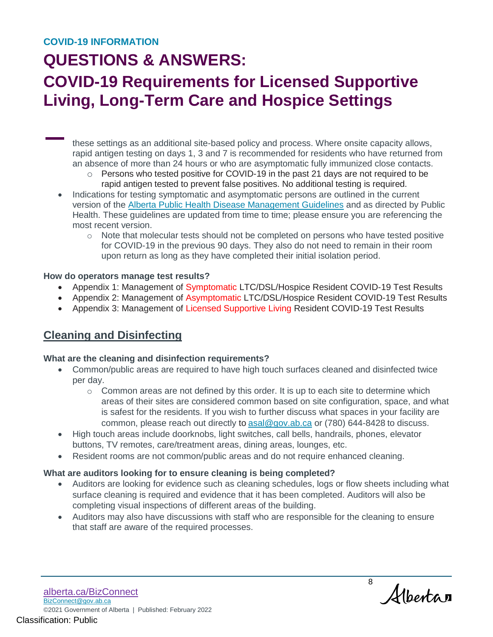### **COVID-19 INFORMATION**

### **QUESTIONS & ANSWERS:**

# **COVID-19 Requirements for Licensed Supportive Living, Long-Term Care and Hospice Settings**

these settings as an additional site-based policy and process. Where onsite capacity allows, rapid antigen testing on days 1, 3 and 7 is recommended for residents who have returned from an absence of more than 24 hours or who are asymptomatic fully immunized close contacts.

- o Persons who tested positive for COVID-19 in the past 21 days are not required to be rapid antigen tested to prevent false positives. No additional testing is required.
- Indications for testing symptomatic and asymptomatic persons are outlined in the current version of the [Alberta Public Health Disease Management Guidelines](https://open.alberta.ca/publications/coronavirus-covid-19) and as directed by Public Health. These guidelines are updated from time to time; please ensure you are referencing the most recent version.
	- $\circ$  Note that molecular tests should not be completed on persons who have tested positive for COVID-19 in the previous 90 days. They also do not need to remain in their room upon return as long as they have completed their initial isolation period.

#### **How do operators manage test results?**

- Appendix 1: Management of Symptomatic LTC/DSL/Hospice Resident COVID-19 Test Results
- Appendix 2: Management of Asymptomatic LTC/DSL/Hospice Resident COVID-19 Test Results
- Appendix 3: Management of Licensed Supportive Living Resident COVID-19 Test Results

### **Cleaning and Disinfecting**

#### **What are the cleaning and disinfection requirements?**

- Common/public areas are required to have high touch surfaces cleaned and disinfected twice per day.
	- $\circ$  Common areas are not defined by this order. It is up to each site to determine which areas of their sites are considered common based on site configuration, space, and what is safest for the residents. If you wish to further discuss what spaces in your facility are common, please reach out directly to [asal@gov.ab.ca](mailto:asal@gov.ab.ca) or (780) 644-8428 to discuss.
- High touch areas include doorknobs, light switches, call bells, handrails, phones, elevator buttons, TV remotes, care/treatment areas, dining areas, lounges, etc.
- Resident rooms are not common/public areas and do not require enhanced cleaning.

#### **What are auditors looking for to ensure cleaning is being completed?**

- Auditors are looking for evidence such as cleaning schedules, logs or flow sheets including what surface cleaning is required and evidence that it has been completed. Auditors will also be completing visual inspections of different areas of the building.
- Auditors may also have discussions with staff who are responsible for the cleaning to ensure that staff are aware of the required processes.

8 Alberta